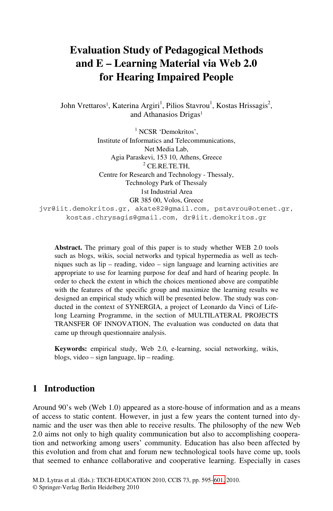# **Evaluation Study of Pedagogical Methods and E – Learning Material via Web 2.0 for Hearing Impaired People**

John Vrettaros<sup>1</sup>, Katerina Argiri<sup>1</sup>, Pilios Stavrou<sup>1</sup>, Kostas Hrissagis<sup>2</sup>, and Athanasios Drigas<sup>1</sup>

> <sup>1</sup> NCSR 'Demokritos', Institute of Informatics and Telecommunications, Net Media Lab, Agia Paraskevi, 153 10, Athens, Greece 2  $2$  CE.RE.TE.TH, Centre for Research and Technology - Thessaly, Technology Park of Thessaly 1st Industrial Area GR 385 00, Volos, Greece

jvr@iit.demokritos.gr, akate82@gmail.com, pstavrou@otenet.gr, kostas.chrysagis@gmail.com, dr@iit.demokritos.gr

**Abstract.** The primary goal of this paper is to study whether WEB 2.0 tools such as blogs, wikis, social networks and typical hypermedia as well as techniques such as lip – reading, video – sign language and learning activities are appropriate to use for learning purpose for deaf and hard of hearing people. In order to check the extent in which the choices mentioned above are compatible with the features of the specific group and maximize the learning results we designed an empirical study which will be presented below. The study was conducted in the context of SYNERGIA, a project of Leonardo da Vinci of Lifelong Learning Programme, in the section of MULTILATERAL PROJECTS TRANSFER OF INNOVATION, The evaluation was conducted on data that came up through questionnaire analysis.

**Keywords:** empirical study, Web 2.0, e-learning, social networking, wikis, blogs, video – sign language, lip – reading.

### **1 Introduction**

Around 90's web (Web 1.0) appeare[d as](#page-6-0) a store-house of information and as a means of access to static content. However, in just a few years the content turned into dynamic and the user was then able to receive results. The philosophy of the new Web 2.0 aims not only to high quality communication but also to accomplishing cooperation and networking among users' community. Education has also been affected by this evolution and from chat and forum new technological tools have come up, tools that seemed to enhance collaborative and cooperative learning. Especially in cases

M.D. Lytras et al. (Eds.): TECH-EDUCATION 2010, CCIS 73, pp. 595–601, 2010. © Springer-Verlag Berlin Heidelberg 2010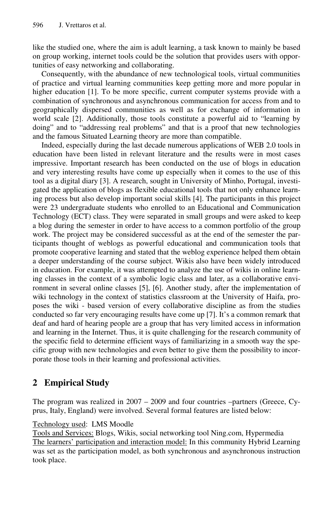like the studied one, where the aim is adult learning, a task known to mainly be based on group working, internet tools could be the solution that provides users with opportunities of easy networking and collaborating.

Consequently, with the abundance of new technological tools, virtual communities of practice and virtual learning communities keep getting more and more popular in higher education [1]. To be more specific, current computer systems provide with a combination of synchronous and asynchronous communication for access from and to geographically dispersed communities as well as for exchange of information in world scale [2]. Additionally, those tools constitute a powerful aid to "learning by doing" and to "addressing real problems" and that is a proof that new technologies and the famous Situated Learning theory are more than compatible.

Indeed, especially during the last decade numerous applications of WEB 2.0 tools in education have been listed in relevant literature and the results were in most cases impressive. Important research has been conducted on the use of blogs in education and very interesting results have come up especially when it comes to the use of this tool as a digital diary [3]. A research, sought in University of Minho, Portugal, investigated the application of blogs as flexible educational tools that not only enhance learning process but also develop important social skills [4]. The participants in this project were 23 undergraduate students who enrolled to an Educational and Communication Technology (ECT) class. They were separated in small groups and were asked to keep a blog during the semester in order to have access to a common portfolio of the group work. The project may be considered successful as at the end of the semester the participants thought of weblogs as powerful educational and communication tools that promote cooperative learning and stated that the weblog experience helped them obtain a deeper understanding of the course subject. Wikis also have been widely introduced in education. For example, it was attempted to analyze the use of wikis in online learning classes in the context of a symbolic logic class and later, as a collaborative environment in several online classes [5], [6]. Another study, after the implementation of wiki technology in the context of statistics classroom at the University of Haifa, proposes the wiki - based version of every collaborative discipline as from the studies conducted so far very encouraging results have come up [7]. It's a common remark that deaf and hard of hearing people are a group that has very limited access in information and learning in the Internet. Thus, it is quite challenging for the research community of the specific field to determine efficient ways of familiarizing in a smooth way the specific group with new technologies and even better to give them the possibility to incorporate those tools in their learning and professional activities.

# **2 Empirical Study**

The program was realized in 2007 – 2009 and four countries –partners (Greece, Cyprus, Italy, England) were involved. Several formal features are listed below:

Technology used: LMS Moodle

Tools and Services: Blogs, Wikis, social networking tool Ning.com, Hypermedia The learners' participation and interaction model: In this community Hybrid Learning was set as the participation model, as both synchronous and asynchronous instruction took place.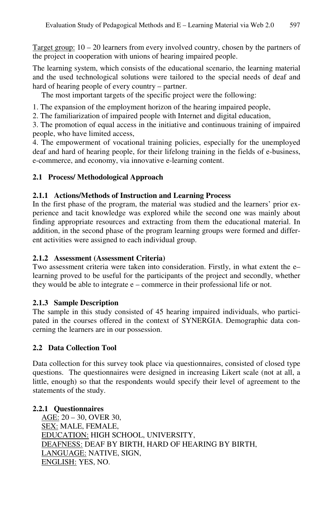Target group: 10 – 20 learners from every involved country, chosen by the partners of the project in cooperation with unions of hearing impaired people.

The learning system, which consists of the educational scenario, the learning material and the used technological solutions were tailored to the special needs of deaf and hard of hearing people of every country – partner.

The most important targets of the specific project were the following:

1. The expansion of the employment horizon of the hearing impaired people,

2. The familiarization of impaired people with Internet and digital education,

3. The promotion of equal access in the initiative and continuous training of impaired people, who have limited access,

4. The empowerment of vocational training policies, especially for the unemployed deaf and hard of hearing people, for their lifelong training in the fields of e-business, e-commerce, and economy, via innovative e-learning content.

#### **2.1 Process/ Methodological Approach**

#### **2.1.1 Actions/Methods of Instruction and Learning Process**

In the first phase of the program, the material was studied and the learners' prior experience and tacit knowledge was explored while the second one was mainly about finding appropriate resources and extracting from them the educational material. In addition, in the second phase of the program learning groups were formed and different activities were assigned to each individual group.

#### **2.1.2 Assessment (Assessment Criteria)**

Two assessment criteria were taken into consideration. Firstly, in what extent the e– learning proved to be useful for the participants of the project and secondly, whether they would be able to integrate e – commerce in their professional life or not.

#### **2.1.3 Sample Description**

The sample in this study consisted of 45 hearing impaired individuals, who participated in the courses offered in the context of SYNERGIA. Demographic data concerning the learners are in our possession.

#### **2.2 Data Collection Tool**

Data collection for this survey took place via questionnaires, consisted of closed type questions. The questionnaires were designed in increasing Likert scale (not at all, a little, enough) so that the respondents would specify their level of agreement to the statements of the study.

#### **2.2.1 Questionnaires**

AGE: 20 – 30, OVER 30, SEX: MALE, FEMALE, EDUCATION: HIGH SCHOOL, UNIVERSITY, DEAFNESS: DEAF BY BIRTH, HARD OF HEARING BY BIRTH, LANGUAGE: NATIVE, SIGN, ENGLISH: YES, NO.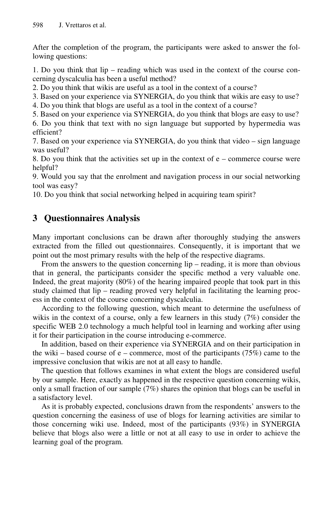After the completion of the program, the participants were asked to answer the following questions:

1. Do you think that lip – reading which was used in the context of the course concerning dyscalculia has been a useful method?

2. Do you think that wikis are useful as a tool in the context of a course?

3. Based on your experience via SYNERGIA, do you think that wikis are easy to use?

4. Do you think that blogs are useful as a tool in the context of a course?

5. Based on your experience via SYNERGIA, do you think that blogs are easy to use?

6. Do you think that text with no sign language but supported by hypermedia was efficient?

7. Based on your experience via SYNERGIA, do you think that video – sign language was useful?

8. Do you think that the activities set up in the context of  $e$  – commerce course were helpful?

9. Would you say that the enrolment and navigation process in our social networking tool was easy?

10. Do you think that social networking helped in acquiring team spirit?

# **3 Questionnaires Analysis**

Many important conclusions can be drawn after thoroughly studying the answers extracted from the filled out questionnaires. Consequently, it is important that we point out the most primary results with the help of the respective diagrams.

From the answers to the question concerning lip – reading, it is more than obvious that in general, the participants consider the specific method a very valuable one. Indeed, the great majority (80%) of the hearing impaired people that took part in this study claimed that lip – reading proved very helpful in facilitating the learning process in the context of the course concerning dyscalculia.

According to the following question, which meant to determine the usefulness of wikis in the context of a course, only a few learners in this study (7%) consider the specific WEB 2.0 technology a much helpful tool in learning and working after using it for their participation in the course introducing e-commerce.

In addition, based on their experience via SYNERGIA and on their participation in the wiki – based course of  $e$  – commerce, most of the participants (75%) came to the impressive conclusion that wikis are not at all easy to handle.

The question that follows examines in what extent the blogs are considered useful by our sample. Here, exactly as happened in the respective question concerning wikis, only a small fraction of our sample (7%) shares the opinion that blogs can be useful in a satisfactory level.

As it is probably expected, conclusions drawn from the respondents' answers to the question concerning the easiness of use of blogs for learning activities are similar to those concerning wiki use. Indeed, most of the participants (93%) in SYNERGIA believe that blogs also were a little or not at all easy to use in order to achieve the learning goal of the program.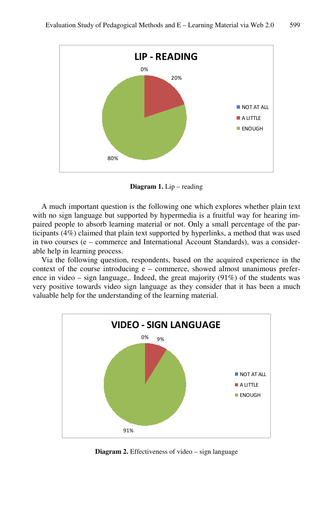

**Diagram 1.** Lip – reading

A much important question is the following one which explores whether plain text with no sign language but supported by hypermedia is a fruitful way for hearing impaired people to absorb learning material or not. Only a small percentage of the participants (4%) claimed that plain text supported by hyperlinks, a method that was used in two courses (e – commerce and International Account Standards), was a considerable help in learning process.

Via the following question, respondents, based on the acquired experience in the context of the course introducing e – commerce, showed almost unanimous preference in video – sign language,. Indeed, the great majority  $(91%)$  of the students was very positive towards video sign language as they consider that it has been a much valuable help for the understanding of the learning material.



**Diagram 2.** Effectiveness of video – sign language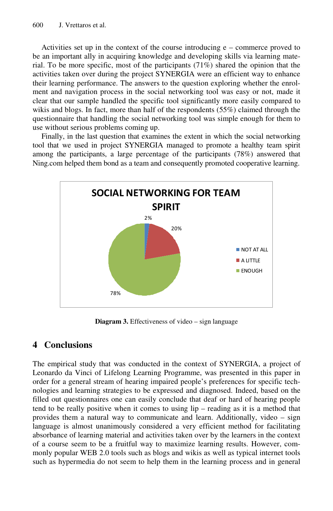Activities set up in the context of the course introducing e – commerce proved to be an important ally in acquiring knowledge and developing skills via learning material. To be more specific, most of the participants (71%) shared the opinion that the activities taken over during the project SYNERGIA were an efficient way to enhance their learning performance. The answers to the question exploring whether the enrolment and navigation process in the social networking tool was easy or not, made it clear that our sample handled the specific tool significantly more easily compared to wikis and blogs. In fact, more than half of the respondents (55%) claimed through the questionnaire that handling the social networking tool was simple enough for them to use without serious problems coming up.

Finally, in the last question that examines the extent in which the social networking tool that we used in project SYNERGIA managed to promote a healthy team spirit among the participants, a large percentage of the participants (78%) answered that Ning.com helped them bond as a team and consequently promoted cooperative learning.



**Diagram 3.** Effectiveness of video – sign language

# **4 Conclusions**

The empirical study that was conducted in the context of SYNERGIA, a project of Leonardo da Vinci of Lifelong Learning Programme, was presented in this paper in order for a general stream of hearing impaired people's preferences for specific technologies and learning strategies to be expressed and diagnosed. Indeed, based on the filled out questionnaires one can easily conclude that deaf or hard of hearing people tend to be really positive when it comes to using lip – reading as it is a method that provides them a natural way to communicate and learn. Additionally, video – sign language is almost unanimously considered a very efficient method for facilitating absorbance of learning material and activities taken over by the learners in the context of a course seem to be a fruitful way to maximize learning results. However, commonly popular WEB 2.0 tools such as blogs and wikis as well as typical internet tools such as hypermedia do not seem to help them in the learning process and in general